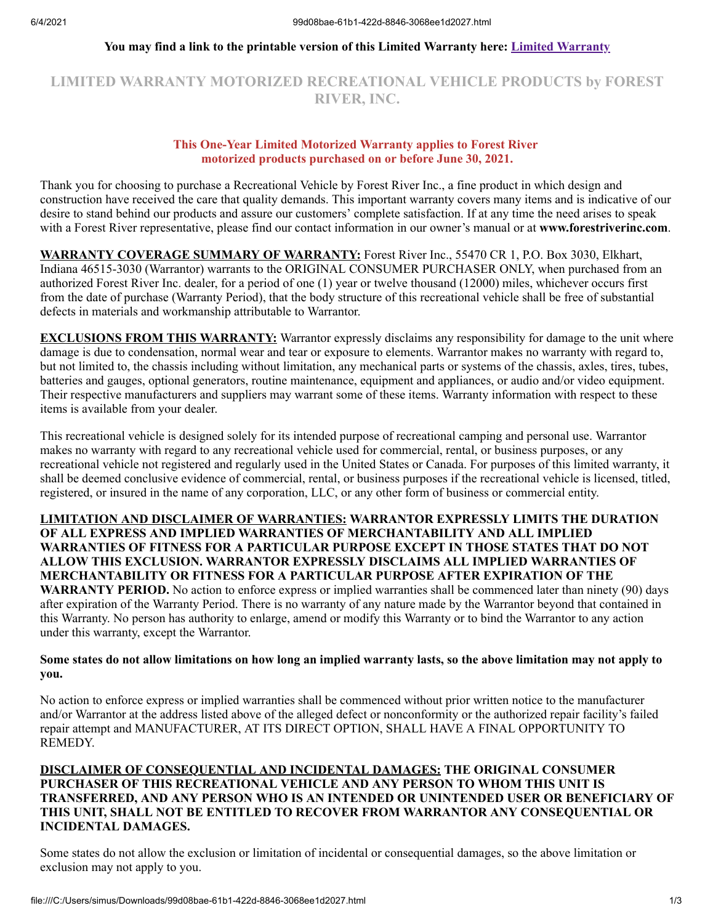### **You may find a link to the printable version of this Limited Warranty here: [Limited Warranty](https://forestriverinc.com/Owners/Warranty-Information)**

# **LIMITED WARRANTY MOTORIZED RECREATIONAL VEHICLE PRODUCTS by FOREST RIVER, INC.**

# **This One-Year Limited Motorized Warranty applies to Forest River motorized products purchased on or before June 30, 2021.**

Thank you for choosing to purchase a Recreational Vehicle by Forest River Inc., a fine product in which design and construction have received the care that quality demands. This important warranty covers many items and is indicative of our desire to stand behind our products and assure our customers' complete satisfaction. If at any time the need arises to speak with a Forest River representative, please find our contact information in our owner's manual or at **www.forestriverinc.com**.

**WARRANTY COVERAGE SUMMARY OF WARRANTY:** Forest River Inc., 55470 CR 1, P.O. Box 3030, Elkhart, Indiana 46515-3030 (Warrantor) warrants to the ORIGINAL CONSUMER PURCHASER ONLY, when purchased from an authorized Forest River Inc. dealer, for a period of one (1) year or twelve thousand (12000) miles, whichever occurs first from the date of purchase (Warranty Period), that the body structure of this recreational vehicle shall be free of substantial defects in materials and workmanship attributable to Warrantor.

**EXCLUSIONS FROM THIS WARRANTY:** Warrantor expressly disclaims any responsibility for damage to the unit where damage is due to condensation, normal wear and tear or exposure to elements. Warrantor makes no warranty with regard to, but not limited to, the chassis including without limitation, any mechanical parts or systems of the chassis, axles, tires, tubes, batteries and gauges, optional generators, routine maintenance, equipment and appliances, or audio and/or video equipment. Their respective manufacturers and suppliers may warrant some of these items. Warranty information with respect to these items is available from your dealer.

This recreational vehicle is designed solely for its intended purpose of recreational camping and personal use. Warrantor makes no warranty with regard to any recreational vehicle used for commercial, rental, or business purposes, or any recreational vehicle not registered and regularly used in the United States or Canada. For purposes of this limited warranty, it shall be deemed conclusive evidence of commercial, rental, or business purposes if the recreational vehicle is licensed, titled, registered, or insured in the name of any corporation, LLC, or any other form of business or commercial entity.

#### **LIMITATION AND DISCLAIMER OF WARRANTIES: WARRANTOR EXPRESSLY LIMITS THE DURATION OF ALL EXPRESS AND IMPLIED WARRANTIES OF MERCHANTABILITY AND ALL IMPLIED WARRANTIES OF FITNESS FOR A PARTICULAR PURPOSE EXCEPT IN THOSE STATES THAT DO NOT ALLOW THIS EXCLUSION. WARRANTOR EXPRESSLY DISCLAIMS ALL IMPLIED WARRANTIES OF MERCHANTABILITY OR FITNESS FOR A PARTICULAR PURPOSE AFTER EXPIRATION OF THE WARRANTY PERIOD.** No action to enforce express or implied warranties shall be commenced later than ninety (90) days after expiration of the Warranty Period. There is no warranty of any nature made by the Warrantor beyond that contained in this Warranty. No person has authority to enlarge, amend or modify this Warranty or to bind the Warrantor to any action under this warranty, except the Warrantor.

#### **Some states do not allow limitations on how long an implied warranty lasts, so the above limitation may not apply to you.**

No action to enforce express or implied warranties shall be commenced without prior written notice to the manufacturer and/or Warrantor at the address listed above of the alleged defect or nonconformity or the authorized repair facility's failed repair attempt and MANUFACTURER, AT ITS DIRECT OPTION, SHALL HAVE A FINAL OPPORTUNITY TO REMEDY.

## **DISCLAIMER OF CONSEQUENTIAL AND INCIDENTAL DAMAGES: THE ORIGINAL CONSUMER PURCHASER OF THIS RECREATIONAL VEHICLE AND ANY PERSON TO WHOM THIS UNIT IS TRANSFERRED, AND ANY PERSON WHO IS AN INTENDED OR UNINTENDED USER OR BENEFICIARY OF THIS UNIT, SHALL NOT BE ENTITLED TO RECOVER FROM WARRANTOR ANY CONSEQUENTIAL OR INCIDENTAL DAMAGES.**

Some states do not allow the exclusion or limitation of incidental or consequential damages, so the above limitation or exclusion may not apply to you.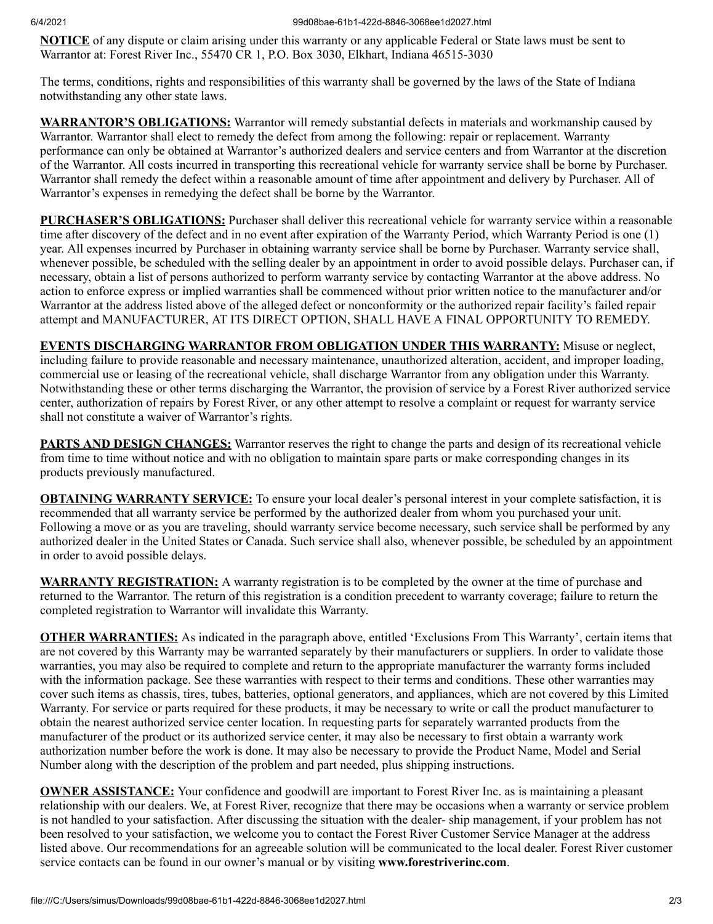#### 6/4/2021 99d08bae-61b1-422d-8846-3068ee1d2027.html

**NOTICE** of any dispute or claim arising under this warranty or any applicable Federal or State laws must be sent to Warrantor at: Forest River Inc., 55470 CR 1, P.O. Box 3030, Elkhart, Indiana 46515-3030

The terms, conditions, rights and responsibilities of this warranty shall be governed by the laws of the State of Indiana notwithstanding any other state laws.

**WARRANTOR'S OBLIGATIONS:** Warrantor will remedy substantial defects in materials and workmanship caused by Warrantor. Warrantor shall elect to remedy the defect from among the following: repair or replacement. Warranty performance can only be obtained at Warrantor's authorized dealers and service centers and from Warrantor at the discretion of the Warrantor. All costs incurred in transporting this recreational vehicle for warranty service shall be borne by Purchaser. Warrantor shall remedy the defect within a reasonable amount of time after appointment and delivery by Purchaser. All of Warrantor's expenses in remedying the defect shall be borne by the Warrantor.

**PURCHASER'S OBLIGATIONS:** Purchaser shall deliver this recreational vehicle for warranty service within a reasonable time after discovery of the defect and in no event after expiration of the Warranty Period, which Warranty Period is one (1) year. All expenses incurred by Purchaser in obtaining warranty service shall be borne by Purchaser. Warranty service shall, whenever possible, be scheduled with the selling dealer by an appointment in order to avoid possible delays. Purchaser can, if necessary, obtain a list of persons authorized to perform warranty service by contacting Warrantor at the above address. No action to enforce express or implied warranties shall be commenced without prior written notice to the manufacturer and/or Warrantor at the address listed above of the alleged defect or nonconformity or the authorized repair facility's failed repair attempt and MANUFACTURER, AT ITS DIRECT OPTION, SHALL HAVE A FINAL OPPORTUNITY TO REMEDY.

**EVENTS DISCHARGING WARRANTOR FROM OBLIGATION UNDER THIS WARRANTY:** Misuse or neglect, including failure to provide reasonable and necessary maintenance, unauthorized alteration, accident, and improper loading, commercial use or leasing of the recreational vehicle, shall discharge Warrantor from any obligation under this Warranty. Notwithstanding these or other terms discharging the Warrantor, the provision of service by a Forest River authorized service center, authorization of repairs by Forest River, or any other attempt to resolve a complaint or request for warranty service shall not constitute a waiver of Warrantor's rights.

**PARTS AND DESIGN CHANGES:** Warrantor reserves the right to change the parts and design of its recreational vehicle from time to time without notice and with no obligation to maintain spare parts or make corresponding changes in its products previously manufactured.

**OBTAINING WARRANTY SERVICE:** To ensure your local dealer's personal interest in your complete satisfaction, it is recommended that all warranty service be performed by the authorized dealer from whom you purchased your unit. Following a move or as you are traveling, should warranty service become necessary, such service shall be performed by any authorized dealer in the United States or Canada. Such service shall also, whenever possible, be scheduled by an appointment in order to avoid possible delays.

**WARRANTY REGISTRATION:** A warranty registration is to be completed by the owner at the time of purchase and returned to the Warrantor. The return of this registration is a condition precedent to warranty coverage; failure to return the completed registration to Warrantor will invalidate this Warranty.

**OTHER WARRANTIES:** As indicated in the paragraph above, entitled 'Exclusions From This Warranty', certain items that are not covered by this Warranty may be warranted separately by their manufacturers or suppliers. In order to validate those warranties, you may also be required to complete and return to the appropriate manufacturer the warranty forms included with the information package. See these warranties with respect to their terms and conditions. These other warranties may cover such items as chassis, tires, tubes, batteries, optional generators, and appliances, which are not covered by this Limited Warranty. For service or parts required for these products, it may be necessary to write or call the product manufacturer to obtain the nearest authorized service center location. In requesting parts for separately warranted products from the manufacturer of the product or its authorized service center, it may also be necessary to first obtain a warranty work authorization number before the work is done. It may also be necessary to provide the Product Name, Model and Serial Number along with the description of the problem and part needed, plus shipping instructions.

**OWNER ASSISTANCE:** Your confidence and goodwill are important to Forest River Inc. as is maintaining a pleasant relationship with our dealers. We, at Forest River, recognize that there may be occasions when a warranty or service problem is not handled to your satisfaction. After discussing the situation with the dealer- ship management, if your problem has not been resolved to your satisfaction, we welcome you to contact the Forest River Customer Service Manager at the address listed above. Our recommendations for an agreeable solution will be communicated to the local dealer. Forest River customer service contacts can be found in our owner's manual or by visiting **www.forestriverinc.com**.